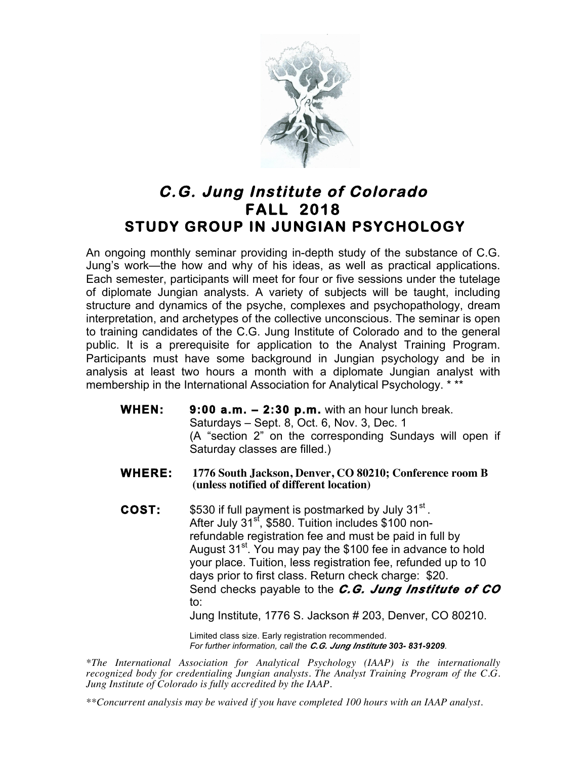

## **C.G. Jung Institute of Colorado FALL 2018 STUDY GROUP IN JUNGIAN PSYCHOLOGY**

An ongoing monthly seminar providing in-depth study of the substance of C.G. Jung's work—the how and why of his ideas, as well as practical applications. Each semester, participants will meet for four or five sessions under the tutelage of diplomate Jungian analysts. A variety of subjects will be taught, including structure and dynamics of the psyche, complexes and psychopathology, dream interpretation, and archetypes of the collective unconscious. The seminar is open to training candidates of the C.G. Jung Institute of Colorado and to the general public. It is a prerequisite for application to the Analyst Training Program. Participants must have some background in Jungian psychology and be in analysis at least two hours a month with a diplomate Jungian analyst with membership in the International Association for Analytical Psychology. \*\*\*

- **WHEN: 9:00 a.m. 2:30 p.m.** with an hour lunch break. Saturdays – Sept. 8, Oct. 6, Nov. 3, Dec. 1 (A "section 2" on the corresponding Sundays will open if Saturday classes are filled.)
- **WHERE: 1776 South Jackson, Denver, CO 80210; Conference room B (unless notified of different location)**
- **COST:** \$530 if full payment is postmarked by July 31<sup>st</sup>. After July 31<sup>st</sup>, \$580. Tuition includes \$100 nonrefundable registration fee and must be paid in full by August  $31^{st}$ . You may pay the \$100 fee in advance to hold your place. Tuition, less registration fee, refunded up to 10 days prior to first class. Return check charge: \$20. Send checks payable to the *C.G. Jung Institute of CO* to:

Jung Institute, 1776 S. Jackson # 203, Denver, CO 80210.

Limited class size. Early registration recommended. *For further information, call the C.G. Jung Institute 303- 831-9209.*

*\*The International Association for Analytical Psychology (IAAP) is the internationally recognized body for credentialing Jungian analysts. The Analyst Training Program of the C.G. Jung Institute of Colorado is fully accredited by the IAAP.* 

*\*\*Concurrent analysis may be waived if you have completed 100 hours with an IAAP analyst.*